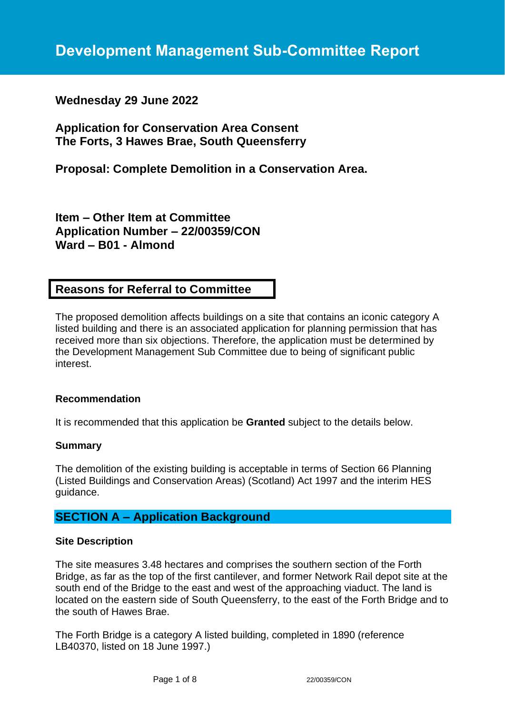# **Wednesday 29 June 2022**

**Application for Conservation Area Consent The Forts, 3 Hawes Brae, South Queensferry**

**Proposal: Complete Demolition in a Conservation Area.**

**Item – Other Item at Committee Application Number – 22/00359/CON Ward – B01 - Almond**

# **Reasons for Referral to Committee**

The proposed demolition affects buildings on a site that contains an iconic category A listed building and there is an associated application for planning permission that has received more than six objections. Therefore, the application must be determined by the Development Management Sub Committee due to being of significant public interest.

## **Recommendation**

It is recommended that this application be **Granted** subject to the details below.

## **Summary**

The demolition of the existing building is acceptable in terms of Section 66 Planning (Listed Buildings and Conservation Areas) (Scotland) Act 1997 and the interim HES guidance.

# **SECTION A – Application Background**

#### **Site Description**

The site measures 3.48 hectares and comprises the southern section of the Forth Bridge, as far as the top of the first cantilever, and former Network Rail depot site at the south end of the Bridge to the east and west of the approaching viaduct. The land is located on the eastern side of South Queensferry, to the east of the Forth Bridge and to the south of Hawes Brae.

The Forth Bridge is a category A listed building, completed in 1890 (reference LB40370, listed on 18 June 1997.)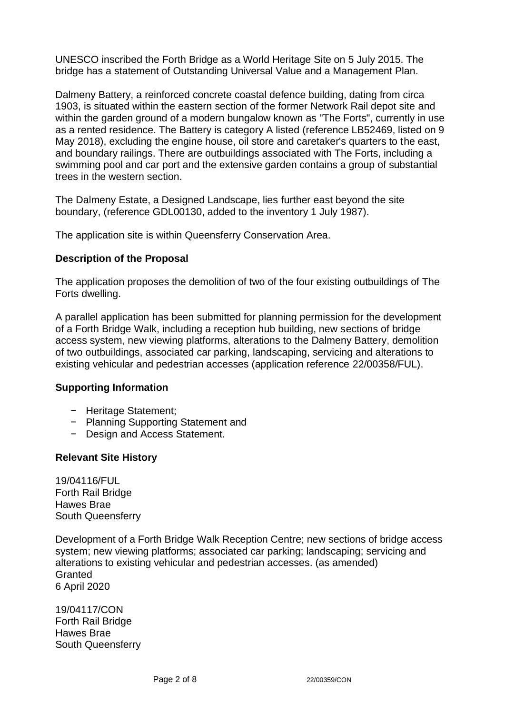UNESCO inscribed the Forth Bridge as a World Heritage Site on 5 July 2015. The bridge has a statement of Outstanding Universal Value and a Management Plan.

Dalmeny Battery, a reinforced concrete coastal defence building, dating from circa 1903, is situated within the eastern section of the former Network Rail depot site and within the garden ground of a modern bungalow known as "The Forts", currently in use as a rented residence. The Battery is category A listed (reference LB52469, listed on 9 May 2018), excluding the engine house, oil store and caretaker's quarters to the east, and boundary railings. There are outbuildings associated with The Forts, including a swimming pool and car port and the extensive garden contains a group of substantial trees in the western section.

The Dalmeny Estate, a Designed Landscape, lies further east beyond the site boundary, (reference GDL00130, added to the inventory 1 July 1987).

The application site is within Queensferry Conservation Area.

## **Description of the Proposal**

The application proposes the demolition of two of the four existing outbuildings of The Forts dwelling.

A parallel application has been submitted for planning permission for the development of a Forth Bridge Walk, including a reception hub building, new sections of bridge access system, new viewing platforms, alterations to the Dalmeny Battery, demolition of two outbuildings, associated car parking, landscaping, servicing and alterations to existing vehicular and pedestrian accesses (application reference 22/00358/FUL).

## **Supporting Information**

- − Heritage Statement;
- − Planning Supporting Statement and
- − Design and Access Statement.

## **Relevant Site History**

19/04116/FUL Forth Rail Bridge Hawes Brae South Queensferry

Development of a Forth Bridge Walk Reception Centre; new sections of bridge access system; new viewing platforms; associated car parking; landscaping; servicing and alterations to existing vehicular and pedestrian accesses. (as amended) **Granted** 6 April 2020

19/04117/CON Forth Rail Bridge Hawes Brae South Queensferry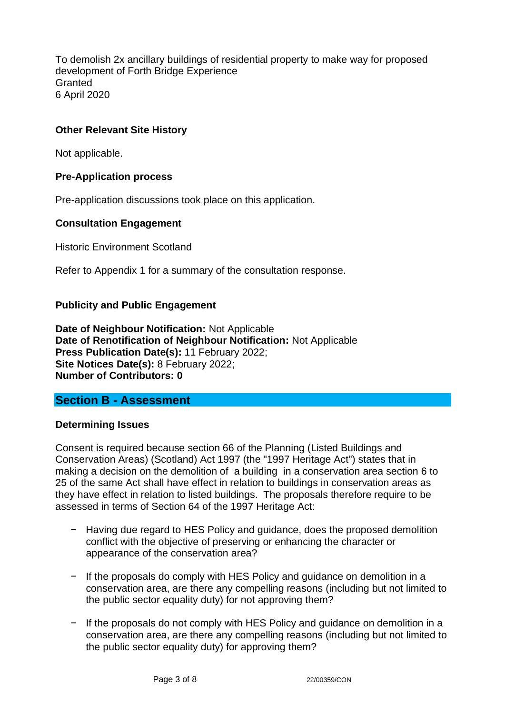To demolish 2x ancillary buildings of residential property to make way for proposed development of Forth Bridge Experience **Granted** 6 April 2020

## **Other Relevant Site History**

Not applicable.

#### **Pre-Application process**

Pre-application discussions took place on this application.

#### **Consultation Engagement**

Historic Environment Scotland

Refer to Appendix 1 for a summary of the consultation response.

#### **Publicity and Public Engagement**

**Date of Neighbour Notification:** Not Applicable **Date of Renotification of Neighbour Notification:** Not Applicable **Press Publication Date(s):** 11 February 2022; **Site Notices Date(s):** 8 February 2022; **Number of Contributors: 0**

## **Section B - Assessment**

#### **Determining Issues**

Consent is required because section 66 of the Planning (Listed Buildings and Conservation Areas) (Scotland) Act 1997 (the "1997 Heritage Act") states that in making a decision on the demolition of a building in a conservation area section 6 to 25 of the same Act shall have effect in relation to buildings in conservation areas as they have effect in relation to listed buildings. The proposals therefore require to be assessed in terms of Section 64 of the 1997 Heritage Act:

- − Having due regard to HES Policy and guidance, does the proposed demolition conflict with the objective of preserving or enhancing the character or appearance of the conservation area?
- − If the proposals do comply with HES Policy and guidance on demolition in a conservation area, are there any compelling reasons (including but not limited to the public sector equality duty) for not approving them?
- − If the proposals do not comply with HES Policy and guidance on demolition in a conservation area, are there any compelling reasons (including but not limited to the public sector equality duty) for approving them?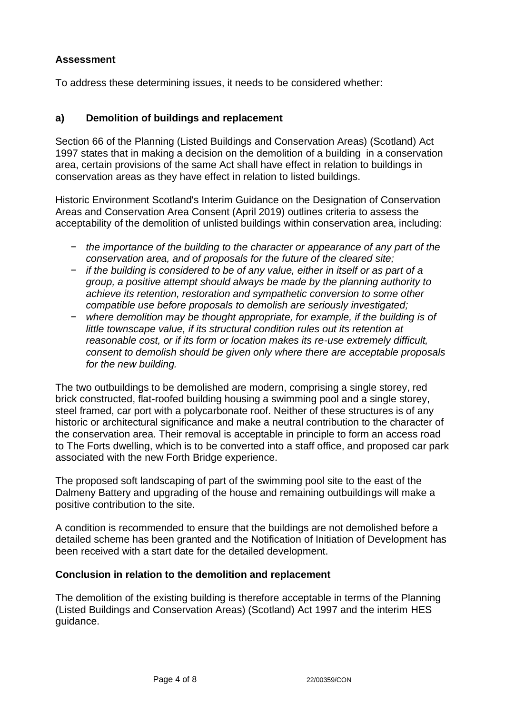# **Assessment**

To address these determining issues, it needs to be considered whether:

# **a) Demolition of buildings and replacement**

Section 66 of the Planning (Listed Buildings and Conservation Areas) (Scotland) Act 1997 states that in making a decision on the demolition of a building in a conservation area, certain provisions of the same Act shall have effect in relation to buildings in conservation areas as they have effect in relation to listed buildings.

Historic Environment Scotland's Interim Guidance on the Designation of Conservation Areas and Conservation Area Consent (April 2019) outlines criteria to assess the acceptability of the demolition of unlisted buildings within conservation area, including:

- − *the importance of the building to the character or appearance of any part of the conservation area, and of proposals for the future of the cleared site;*
- − *if the building is considered to be of any value, either in itself or as part of a group, a positive attempt should always be made by the planning authority to achieve its retention, restoration and sympathetic conversion to some other compatible use before proposals to demolish are seriously investigated;*
- − *where demolition may be thought appropriate, for example, if the building is of little townscape value, if its structural condition rules out its retention at reasonable cost, or if its form or location makes its re-use extremely difficult, consent to demolish should be given only where there are acceptable proposals for the new building.*

The two outbuildings to be demolished are modern, comprising a single storey, red brick constructed, flat-roofed building housing a swimming pool and a single storey, steel framed, car port with a polycarbonate roof. Neither of these structures is of any historic or architectural significance and make a neutral contribution to the character of the conservation area. Their removal is acceptable in principle to form an access road to The Forts dwelling, which is to be converted into a staff office, and proposed car park associated with the new Forth Bridge experience.

The proposed soft landscaping of part of the swimming pool site to the east of the Dalmeny Battery and upgrading of the house and remaining outbuildings will make a positive contribution to the site.

A condition is recommended to ensure that the buildings are not demolished before a detailed scheme has been granted and the Notification of Initiation of Development has been received with a start date for the detailed development.

# **Conclusion in relation to the demolition and replacement**

The demolition of the existing building is therefore acceptable in terms of the Planning (Listed Buildings and Conservation Areas) (Scotland) Act 1997 and the interim HES guidance.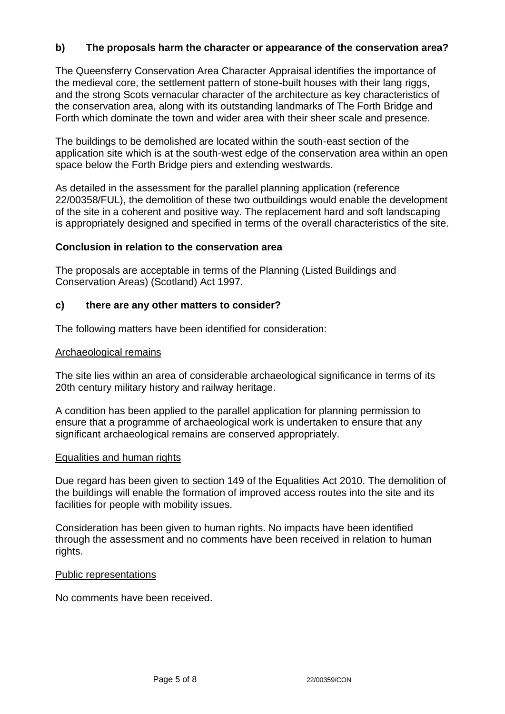## **b) The proposals harm the character or appearance of the conservation area?**

The Queensferry Conservation Area Character Appraisal identifies the importance of the medieval core, the settlement pattern of stone-built houses with their lang riggs, and the strong Scots vernacular character of the architecture as key characteristics of the conservation area, along with its outstanding landmarks of The Forth Bridge and Forth which dominate the town and wider area with their sheer scale and presence.

The buildings to be demolished are located within the south-east section of the application site which is at the south-west edge of the conservation area within an open space below the Forth Bridge piers and extending westwards.

As detailed in the assessment for the parallel planning application (reference 22/00358/FUL), the demolition of these two outbuildings would enable the development of the site in a coherent and positive way. The replacement hard and soft landscaping is appropriately designed and specified in terms of the overall characteristics of the site.

#### **Conclusion in relation to the conservation area**

The proposals are acceptable in terms of the Planning (Listed Buildings and Conservation Areas) (Scotland) Act 1997.

#### **c) there are any other matters to consider?**

The following matters have been identified for consideration:

#### Archaeological remains

The site lies within an area of considerable archaeological significance in terms of its 20th century military history and railway heritage.

A condition has been applied to the parallel application for planning permission to ensure that a programme of archaeological work is undertaken to ensure that any significant archaeological remains are conserved appropriately.

#### Equalities and human rights

Due regard has been given to section 149 of the Equalities Act 2010. The demolition of the buildings will enable the formation of improved access routes into the site and its facilities for people with mobility issues.

Consideration has been given to human rights. No impacts have been identified through the assessment and no comments have been received in relation to human rights.

#### Public representations

No comments have been received.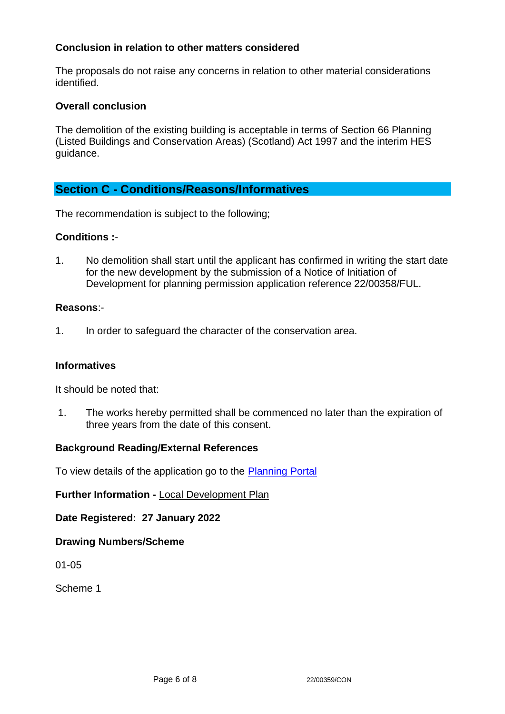## **Conclusion in relation to other matters considered**

The proposals do not raise any concerns in relation to other material considerations identified.

## **Overall conclusion**

The demolition of the existing building is acceptable in terms of Section 66 Planning (Listed Buildings and Conservation Areas) (Scotland) Act 1997 and the interim HES guidance.

# **Section C - Conditions/Reasons/Informatives**

The recommendation is subject to the following;

## **Conditions :**-

1. No demolition shall start until the applicant has confirmed in writing the start date for the new development by the submission of a Notice of Initiation of Development for planning permission application reference 22/00358/FUL.

#### **Reasons**:-

1. In order to safeguard the character of the conservation area.

## **Informatives**

It should be noted that:

1. The works hereby permitted shall be commenced no later than the expiration of three years from the date of this consent.

## **Background Reading/External References**

To view details of the application go to the [Planning Portal](https://citydev-portal.edinburgh.gov.uk/idoxpa-web/applicationDetails.do?activeTab=summary&keyVal=R6DHUGEWMY300)

## **Further Information -** [Local Development Plan](https://www.edinburgh.gov.uk/local-development-plan-guidance-1/edinburgh-local-development-plan/1)

## **Date Registered: 27 January 2022**

## **Drawing Numbers/Scheme**

01-05

Scheme 1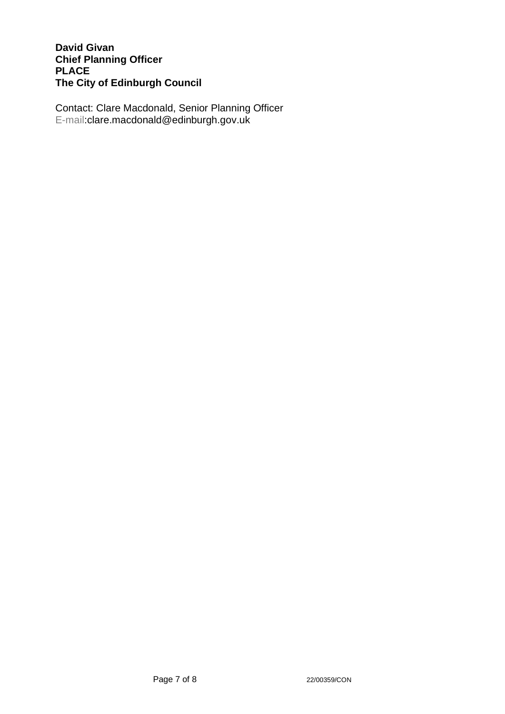## **David Givan Chief Planning Officer PLACE The City of Edinburgh Council**

Contact: Clare Macdonald, Senior Planning Officer E-mail:clare.macdonald@edinburgh.gov.uk